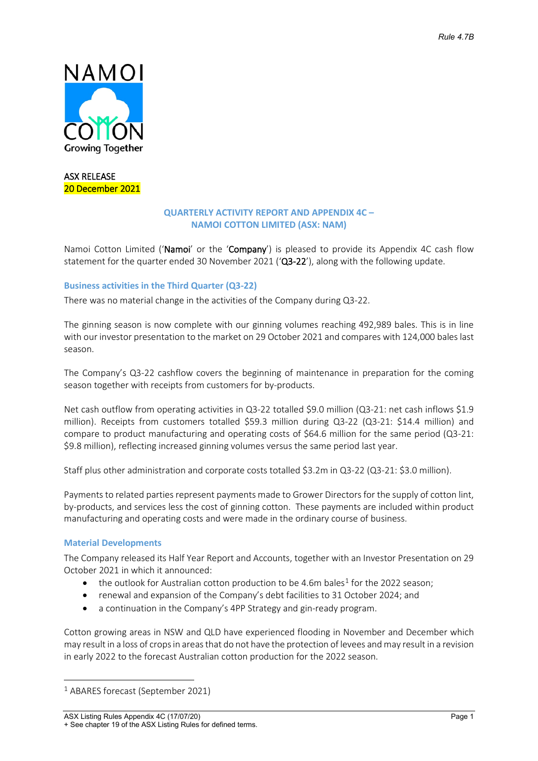

ASX RELEASE 20 December 2021

## **QUARTERLY ACTIVITY REPORT AND APPENDIX 4C – NAMOI COTTON LIMITED (ASX: NAM)**

Namoi Cotton Limited ('Namoi' or the 'Company') is pleased to provide its Appendix 4C cash flow statement for the quarter ended 30 November 2021 ('Q3-22'), along with the following update.

## **Business activities in the Third Quarter (Q3-22)**

There was no material change in the activities of the Company during Q3-22.

The ginning season is now complete with our ginning volumes reaching 492,989 bales. This is in line with our investor presentation to the market on 29 October 2021 and compares with 124,000 bales last season.

The Company's Q3-22 cashflow covers the beginning of maintenance in preparation for the coming season together with receipts from customers for by-products.

Net cash outflow from operating activities in Q3-22 totalled \$9.0 million (Q3-21: net cash inflows \$1.9 million). Receipts from customers totalled \$59.3 million during Q3-22 (Q3-21: \$14.4 million) and compare to product manufacturing and operating costs of \$64.6 million for the same period (Q3-21: \$9.8 million), reflecting increased ginning volumes versus the same period last year.

Staff plus other administration and corporate costs totalled \$3.2m in Q3-22 (Q3-21: \$3.0 million).

Payments to related parties represent payments made to Grower Directors for the supply of cotton lint, by-products, and services less the cost of ginning cotton. These payments are included within product manufacturing and operating costs and were made in the ordinary course of business.

### **Material Developments**

The Company released its Half Year Report and Accounts, together with an Investor Presentation on 29 October 2021 in which it announced:

- the outlook for Australian cotton production to be 4.6m bales<sup>[1](#page-0-0)</sup> for the 2022 season;
- renewal and expansion of the Company's debt facilities to 31 October 2024; and
- a continuation in the Company's 4PP Strategy and gin-ready program.

Cotton growing areas in NSW and QLD have experienced flooding in November and December which may result in a loss of crops in areas that do not have the protection of levees and may result in a revision in early 2022 to the forecast Australian cotton production for the 2022 season.

<span id="page-0-0"></span><sup>1</sup> ABARES forecast (September 2021)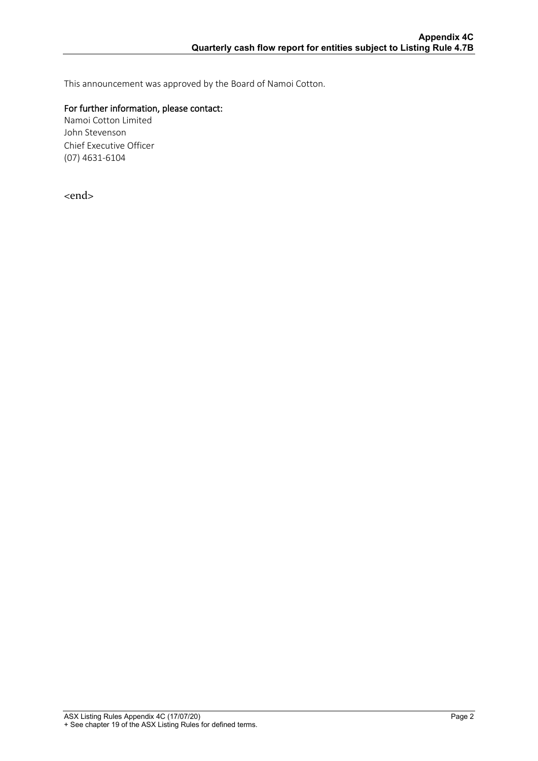This announcement was approved by the Board of Namoi Cotton.

## For further information, please contact:

Namoi Cotton Limited John Stevenson Chief Executive Officer (07) 4631-6104

<end>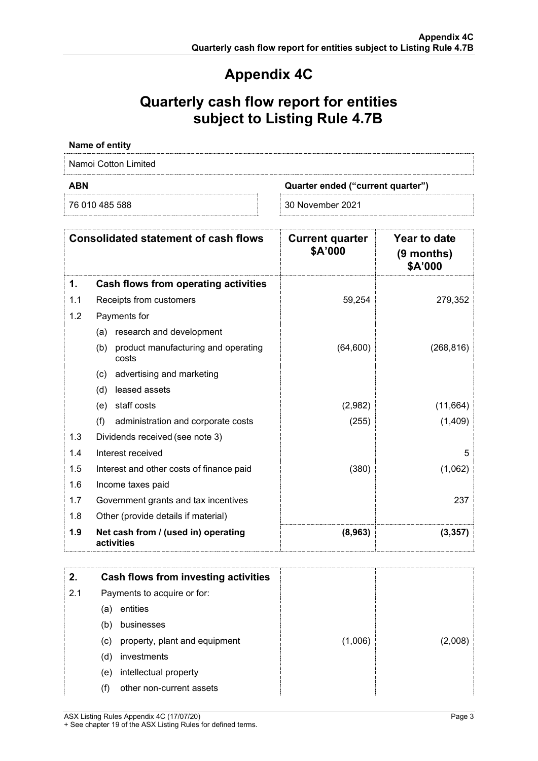# **Appendix 4C**

# **Quarterly cash flow report for entities subject to Listing Rule 4.7B**

## **Name of entity**

Namoi Cotton Limited

**ABN Quarter ended ("current quarter")**

76 010 485 588 30 November 2021

| <b>Consolidated statement of cash flows</b> |                                                     | <b>Current quarter</b><br>\$A'000 | Year to date<br>$(9$ months)<br>\$A'000 |
|---------------------------------------------|-----------------------------------------------------|-----------------------------------|-----------------------------------------|
| 1.                                          | Cash flows from operating activities                |                                   |                                         |
| 1.1                                         | Receipts from customers                             | 59,254                            | 279,352                                 |
| 1.2                                         | Payments for                                        |                                   |                                         |
|                                             | research and development<br>(a)                     |                                   |                                         |
|                                             | product manufacturing and operating<br>(b)<br>costs | (64, 600)                         | (268, 816)                              |
|                                             | advertising and marketing<br>(c)                    |                                   |                                         |
|                                             | leased assets<br>(d)                                |                                   |                                         |
|                                             | staff costs<br>(e)                                  | (2,982)                           | (11,664)                                |
|                                             | (f)<br>administration and corporate costs           | (255)                             | (1,409)                                 |
| 1.3                                         | Dividends received (see note 3)                     |                                   |                                         |
| 1.4                                         | Interest received                                   |                                   | 5                                       |
| 1.5                                         | Interest and other costs of finance paid            | (380)                             | (1,062)                                 |
| 1.6                                         | Income taxes paid                                   |                                   |                                         |
| 1.7                                         | Government grants and tax incentives                |                                   | 237                                     |
| 1.8                                         | Other (provide details if material)                 |                                   |                                         |
| 1.9                                         | Net cash from / (used in) operating<br>activities   | (8,963)                           | (3,357)                                 |

|     |     | Cash flows from investing activities |         |  |
|-----|-----|--------------------------------------|---------|--|
| 2.1 |     | Payments to acquire or for:          |         |  |
|     | (a) | entities                             |         |  |
|     | (b) | businesses                           |         |  |
|     | (c) | property, plant and equipment        | (1,006) |  |
|     | (d) | investments                          |         |  |
|     | (e) | intellectual property                |         |  |
|     | (f) | other non-current assets             |         |  |

ASX Listing Rules Appendix 4C (17/07/20) **Page 3** + See chapter 19 of the ASX Listing Rules for defined terms.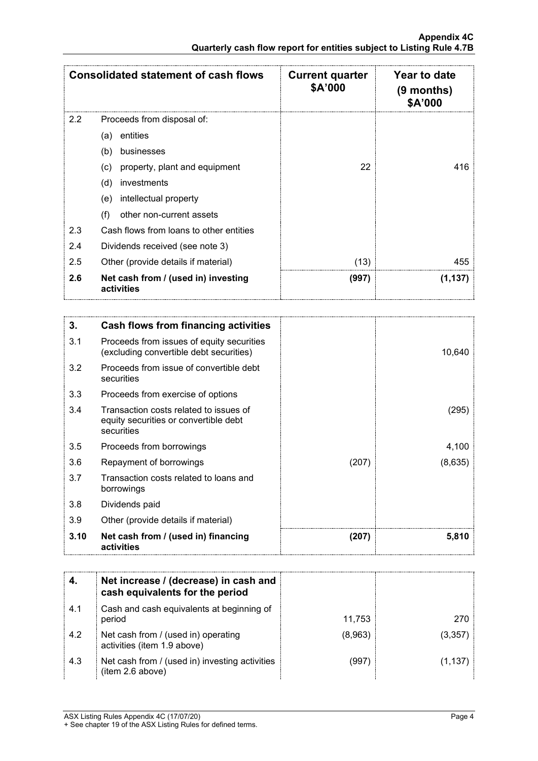| <b>Consolidated statement of cash flows</b> |                                                   | <b>Current quarter</b><br>\$A'000 | Year to date<br>$(9$ months)<br>\$A'000 |
|---------------------------------------------|---------------------------------------------------|-----------------------------------|-----------------------------------------|
| 2.2                                         | Proceeds from disposal of:                        |                                   |                                         |
|                                             | entities<br>(a)                                   |                                   |                                         |
|                                             | (b)<br>businesses                                 |                                   |                                         |
|                                             | property, plant and equipment<br>(c)              | 22                                | 416                                     |
|                                             | (d)<br>investments                                |                                   |                                         |
|                                             | intellectual property<br>(e)                      |                                   |                                         |
|                                             | (f)<br>other non-current assets                   |                                   |                                         |
| 2.3                                         | Cash flows from loans to other entities           |                                   |                                         |
| 2.4                                         | Dividends received (see note 3)                   |                                   |                                         |
| 2.5                                         | Other (provide details if material)               | (13)                              | 455                                     |
| 2.6                                         | Net cash from / (used in) investing<br>activities | (997)                             | (1, 137)                                |

| 3.   | Cash flows from financing activities                                                          |       |         |
|------|-----------------------------------------------------------------------------------------------|-------|---------|
| 3.1  | Proceeds from issues of equity securities<br>(excluding convertible debt securities)          |       | 10,640  |
| 3.2  | Proceeds from issue of convertible debt<br>securities                                         |       |         |
| 3.3  | Proceeds from exercise of options                                                             |       |         |
| 3.4  | Transaction costs related to issues of<br>equity securities or convertible debt<br>securities |       | (295)   |
| 3.5  | Proceeds from borrowings                                                                      |       | 4,100   |
| 3.6  | Repayment of borrowings                                                                       | (207) | (8,635) |
| 3.7  | Transaction costs related to loans and<br>borrowings                                          |       |         |
| 3.8  | Dividends paid                                                                                |       |         |
| 3.9  | Other (provide details if material)                                                           |       |         |
| 3.10 | Net cash from / (used in) financing<br>activities                                             | (207) | 5,810   |

|     | Net increase / (decrease) in cash and<br>cash equivalents for the period |         |        |
|-----|--------------------------------------------------------------------------|---------|--------|
| 4.1 | Cash and cash equivalents at beginning of<br>period                      | 11.753  | 270.   |
| 4.2 | Net cash from / (used in) operating<br>activities (item 1.9 above)       | (8,963) | 13.357 |
| 4.3 | Net cash from / (used in) investing activities<br>(item 2.6 above)       | (997    | (1.137 |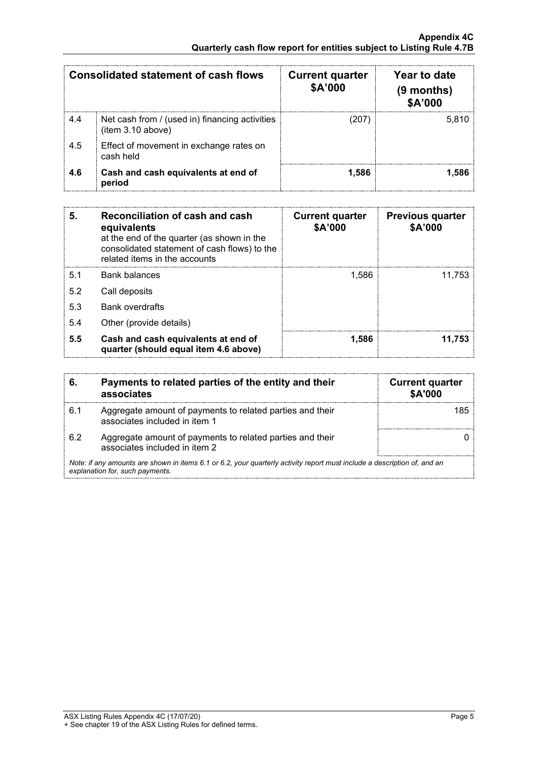|      | Consolidated statement of cash flows                                | <b>Current quarter</b><br><b>\$A'000</b> | Year to date<br>$(9$ months)<br><b>\$A'000</b> |
|------|---------------------------------------------------------------------|------------------------------------------|------------------------------------------------|
| -4.4 | Net cash from / (used in) financing activities<br>(item 3.10 above) |                                          | 5.810                                          |
| 4.5  | Effect of movement in exchange rates on<br>cash held                |                                          |                                                |
| 4.6  | Cash and cash equivalents at end of<br>period                       | 1.586                                    |                                                |

| 5.  | Reconciliation of cash and cash<br>equivalents<br>at the end of the quarter (as shown in the<br>consolidated statement of cash flows) to the<br>related items in the accounts | <b>Current quarter</b><br>\$A'000 | <b>Previous quarter</b><br>\$A'000 |
|-----|-------------------------------------------------------------------------------------------------------------------------------------------------------------------------------|-----------------------------------|------------------------------------|
| 5.1 | Bank balances                                                                                                                                                                 | 1.586                             | 11.753                             |
| 5.2 | Call deposits                                                                                                                                                                 |                                   |                                    |
| 5.3 | <b>Bank overdrafts</b>                                                                                                                                                        |                                   |                                    |
| 5.4 | Other (provide details)                                                                                                                                                       |                                   |                                    |
| 5.5 | Cash and cash equivalents at end of<br>quarter (should equal item 4.6 above)                                                                                                  | 1,586                             | 11.753                             |

| 6.                                                                                                                                                          | Payments to related parties of the entity and their<br>associates                          | <b>Current quarter</b><br><b>\$A'000</b> |
|-------------------------------------------------------------------------------------------------------------------------------------------------------------|--------------------------------------------------------------------------------------------|------------------------------------------|
| 6.1                                                                                                                                                         | Aggregate amount of payments to related parties and their<br>associates included in item 1 |                                          |
| 62                                                                                                                                                          | Aggregate amount of payments to related parties and their<br>associates included in item 2 |                                          |
| Note: if any amounts are shown in items 6.1 or 6.2, your quarterly activity report must include a description of, and an<br>explanation for, such payments. |                                                                                            |                                          |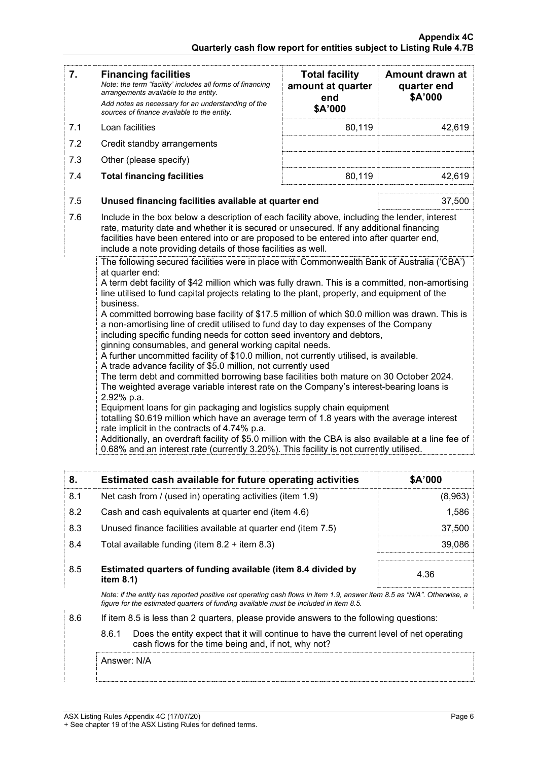| 7.  | <b>Financing facilities</b><br>Note: the term "facility' includes all forms of financing<br>arrangements available to the entity.<br>Add notes as necessary for an understanding of the<br>sources of finance available to the entity.                                                                                                                                                                                                                                                                                                                                                                                                                                                                                                                                                                                                                                                                                                                                                                                                                                                                                                                                                                                                                                                                                                                                                                                                                | <b>Total facility</b><br>amount at quarter<br>end<br>\$A'000 | Amount drawn at<br>quarter end<br>\$A'000 |
|-----|-------------------------------------------------------------------------------------------------------------------------------------------------------------------------------------------------------------------------------------------------------------------------------------------------------------------------------------------------------------------------------------------------------------------------------------------------------------------------------------------------------------------------------------------------------------------------------------------------------------------------------------------------------------------------------------------------------------------------------------------------------------------------------------------------------------------------------------------------------------------------------------------------------------------------------------------------------------------------------------------------------------------------------------------------------------------------------------------------------------------------------------------------------------------------------------------------------------------------------------------------------------------------------------------------------------------------------------------------------------------------------------------------------------------------------------------------------|--------------------------------------------------------------|-------------------------------------------|
| 7.1 | Loan facilities                                                                                                                                                                                                                                                                                                                                                                                                                                                                                                                                                                                                                                                                                                                                                                                                                                                                                                                                                                                                                                                                                                                                                                                                                                                                                                                                                                                                                                       | 80,119                                                       | 42,619                                    |
| 7.2 | Credit standby arrangements                                                                                                                                                                                                                                                                                                                                                                                                                                                                                                                                                                                                                                                                                                                                                                                                                                                                                                                                                                                                                                                                                                                                                                                                                                                                                                                                                                                                                           |                                                              |                                           |
| 7.3 | Other (please specify)                                                                                                                                                                                                                                                                                                                                                                                                                                                                                                                                                                                                                                                                                                                                                                                                                                                                                                                                                                                                                                                                                                                                                                                                                                                                                                                                                                                                                                |                                                              |                                           |
| 7.4 | <b>Total financing facilities</b>                                                                                                                                                                                                                                                                                                                                                                                                                                                                                                                                                                                                                                                                                                                                                                                                                                                                                                                                                                                                                                                                                                                                                                                                                                                                                                                                                                                                                     | 80,119                                                       | 42,619                                    |
| 7.5 | Unused financing facilities available at quarter end                                                                                                                                                                                                                                                                                                                                                                                                                                                                                                                                                                                                                                                                                                                                                                                                                                                                                                                                                                                                                                                                                                                                                                                                                                                                                                                                                                                                  |                                                              | 37,500                                    |
| 7.6 | Include in the box below a description of each facility above, including the lender, interest<br>rate, maturity date and whether it is secured or unsecured. If any additional financing<br>facilities have been entered into or are proposed to be entered into after quarter end,<br>include a note providing details of those facilities as well.                                                                                                                                                                                                                                                                                                                                                                                                                                                                                                                                                                                                                                                                                                                                                                                                                                                                                                                                                                                                                                                                                                  |                                                              |                                           |
|     | The following secured facilities were in place with Commonwealth Bank of Australia ('CBA')<br>at quarter end:<br>A term debt facility of \$42 million which was fully drawn. This is a committed, non-amortising<br>line utilised to fund capital projects relating to the plant, property, and equipment of the<br>business.<br>A committed borrowing base facility of \$17.5 million of which \$0.0 million was drawn. This is<br>a non-amortising line of credit utilised to fund day to day expenses of the Company<br>including specific funding needs for cotton seed inventory and debtors,<br>ginning consumables, and general working capital needs.<br>A further uncommitted facility of \$10.0 million, not currently utilised, is available.<br>A trade advance facility of \$5.0 million, not currently used<br>The term debt and committed borrowing base facilities both mature on 30 October 2024.<br>The weighted average variable interest rate on the Company's interest-bearing loans is<br>2.92% p.a.<br>Equipment loans for gin packaging and logistics supply chain equipment<br>totalling \$0.619 million which have an average term of 1.8 years with the average interest<br>rate implicit in the contracts of 4.74% p.a.<br>Additionally, an overdraft facility of \$5.0 million with the CBA is also available at a line fee of<br>0.68% and an interest rate (currently 3.20%). This facility is not currently utilised. |                                                              |                                           |

| 8.  | Estimated cash available for future operating activities                                                                                                                                                       | <b>\$A'000</b> |
|-----|----------------------------------------------------------------------------------------------------------------------------------------------------------------------------------------------------------------|----------------|
| 8.1 | Net cash from / (used in) operating activities (item 1.9)                                                                                                                                                      | (8,963)        |
| 8.2 | Cash and cash equivalents at quarter end (item 4.6)                                                                                                                                                            | 1,586          |
| 8.3 | Unused finance facilities available at quarter end (item 7.5)                                                                                                                                                  | 37.500         |
| 8.4 | Total available funding (item $8.2 +$ item $8.3$ )                                                                                                                                                             | 39.086         |
| 8.5 | Estimated quarters of funding available (item 8.4 divided by<br>item $8.1$ )                                                                                                                                   | 4.36           |
|     | Note: if the entity has reported positive net operating cash flows in item 1.9, answer item 8.5 as "N/A". Otherwise, a<br>figure for the estimated guarters of funding available must be included in item 8.5. |                |

- 8.6 If item 8.5 is less than 2 quarters, please provide answers to the following questions:
	- 8.6.1 Does the entity expect that it will continue to have the current level of net operating cash flows for the time being and, if not, why not?

Answer: N/A